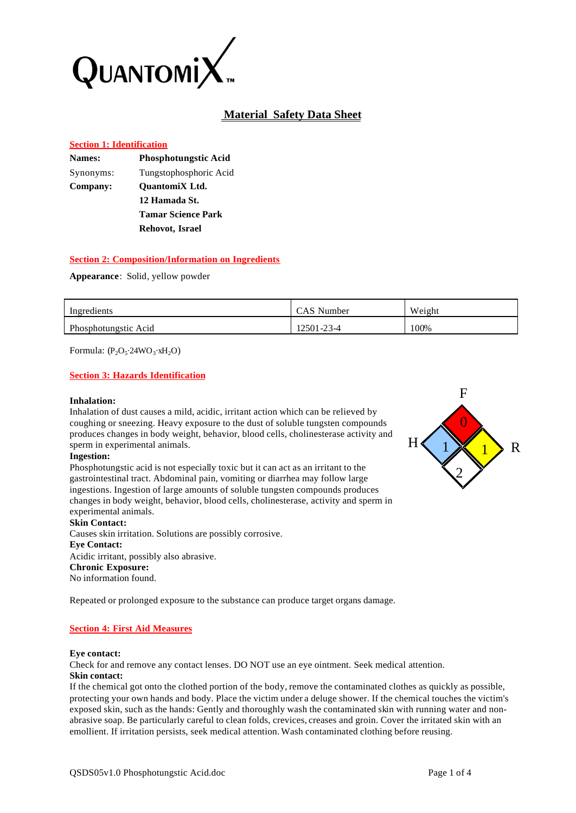

# **Material Safety Data Sheet**

### **Section 1: Identification**

| <b>Phosphotungstic Acid</b> |
|-----------------------------|
| Tungstophosphoric Acid      |
| <b>OuantomiX</b> Ltd.       |
| 12 Hamada St.               |
| <b>Tamar Science Park</b>   |
| Rehovot, Israel             |
|                             |

# **Section 2: Composition/Information on Ingredients**

### **Appearance**: Solid, yellow powder

| Ingredients          | CAS Number | Weight |
|----------------------|------------|--------|
| Phosphotungstic Acid | 12501-23-4 | 100%   |

Formula:  $(P_2O_5.24WO_3. xH_2O)$ 

# **Section 3: Hazards Identification**

#### **Inhalation:**

Inhalation of dust causes a mild, acidic, irritant action which can be relieved by coughing or sneezing. Heavy exposure to the dust of soluble tungsten compounds produces changes in body weight, behavior, blood cells, cholinesterase activity and sperm in experimental animals.

#### **Ingestion:**

Phosphotungstic acid is not especially toxic but it can act as an irritant to the gastrointestinal tract. Abdominal pain, vomiting or diarrhea may follow large ingestions. Ingestion of large amounts of soluble tungsten compounds produces changes in body weight, behavior, blood cells, cholinesterase, activity and sperm in experimental animals.

#### **Skin Contact:**

Causes skin irritation. Solutions are possibly corrosive. **Eye Contact:** Acidic irritant, possibly also abrasive. **Chronic Exposure:** No information found.

Repeated or prolonged exposure to the substance can produce target organs damage.

# **Section 4: First Aid Measures**

#### **Eye contact:**

Check for and remove any contact lenses. DO NOT use an eye ointment. Seek medical attention. **Skin contact:**

If the chemical got onto the clothed portion of the body, remove the contaminated clothes as quickly as possible, protecting your own hands and body. Place the victim under a deluge shower. If the chemical touches the victim's exposed skin, such as the hands: Gently and thoroughly wash the contaminated skin with running water and nonabrasive soap. Be particularly careful to clean folds, crevices, creases and groin. Cover the irritated skin with an emollient. If irritation persists, seek medical attention. Wash contaminated clothing before reusing.

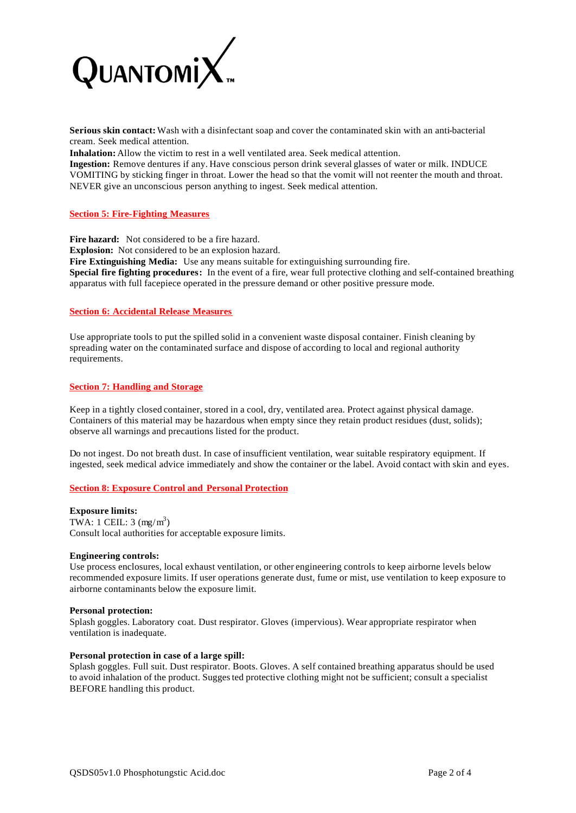

**Serious skin contact:** Wash with a disinfectant soap and cover the contaminated skin with an anti-bacterial cream. Seek medical attention.

**Inhalation:** Allow the victim to rest in a well ventilated area. Seek medical attention.

**Ingestion:** Remove dentures if any. Have conscious person drink several glasses of water or milk. INDUCE VOMITING by sticking finger in throat. Lower the head so that the vomit will not reenter the mouth and throat. NEVER give an unconscious person anything to ingest. Seek medical attention.

### **Section 5: Fire-Fighting Measures**

**Fire hazard:** Not considered to be a fire hazard. **Explosion:** Not considered to be an explosion hazard. **Fire Extinguishing Media:** Use any means suitable for extinguishing surrounding fire. **Special fire fighting procedures:** In the event of a fire, wear full protective clothing and self-contained breathing apparatus with full facepiece operated in the pressure demand or other positive pressure mode.

### **Section 6: Accidental Release Measures**

Use appropriate tools to put the spilled solid in a convenient waste disposal container. Finish cleaning by spreading water on the contaminated surface and dispose of according to local and regional authority requirements.

### **Section 7: Handling and Storage**

Keep in a tightly closed container, stored in a cool, dry, ventilated area. Protect against physical damage. Containers of this material may be hazardous when empty since they retain product residues (dust, solids); observe all warnings and precautions listed for the product.

Do not ingest. Do not breath dust. In case of insufficient ventilation, wear suitable respiratory equipment. If ingested, seek medical advice immediately and show the container or the label. Avoid contact with skin and eyes.

# **Section 8: Exposure Control and Personal Protection**

#### **Exposure limits:**

TWA: 1 CEIL:  $3 \text{ (mg/m}^3)$ Consult local authorities for acceptable exposure limits.

#### **Engineering controls:**

Use process enclosures, local exhaust ventilation, or other engineering controls to keep airborne levels below recommended exposure limits. If user operations generate dust, fume or mist, use ventilation to keep exposure to airborne contaminants below the exposure limit.

#### **Personal protection:**

Splash goggles. Laboratory coat. Dust respirator. Gloves (impervious). Wear appropriate respirator when ventilation is inadequate.

#### **Personal protection in case of a large spill:**

Splash goggles. Full suit. Dust respirator. Boots. Gloves. A self contained breathing apparatus should be used to avoid inhalation of the product. Suggested protective clothing might not be sufficient; consult a specialist BEFORE handling this product.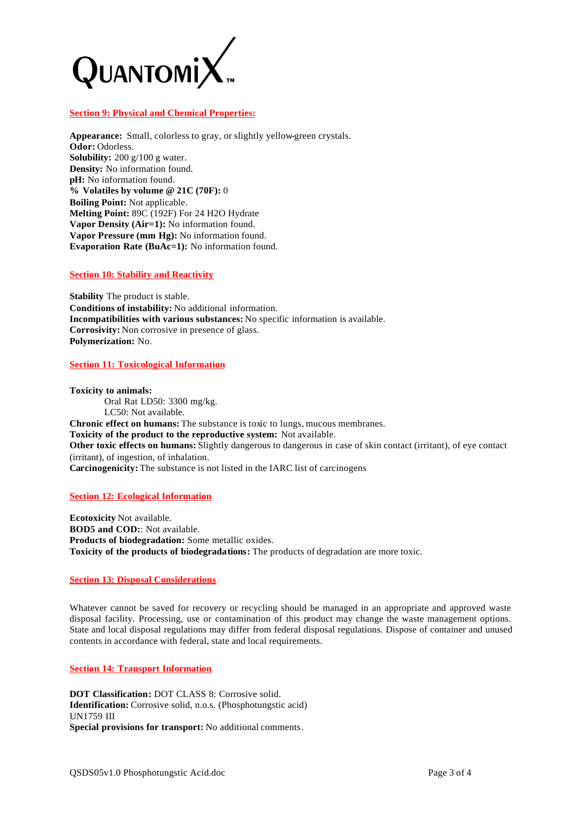

### **Section 9: Physical and Chemical Properties:**

**Appearance:** Small, colorless to gray, or slightly yellow-green crystals. **Odor:** Odorless. **Solubility:** 200 g/100 g water. **Density:** No information found. **pH:** No information found. **% Volatiles by volume @ 21C (70F):** 0 **Boiling Point:** Not applicable. **Melting Point:** 89C (192F) For 24 H2O Hydrate **Vapor Density (Air=1):** No information found. **Vapor Pressure (mm Hg):** No information found. **Evaporation Rate (BuAc=1):** No information found.

#### **Section 10: Stability and Reactivity**

**Stability** The product is stable. **Conditions of instability:** No additional information. **Incompatibilities with various substances:** No specific information is available. **Corrosivity:** Non corrosive in presence of glass. **Polymerization:** No.

### **Section 11: Toxicological Information**

**Toxicity to animals:** Oral Rat LD50: 3300 mg/kg. LC50: Not available. **Chronic effect on humans:** The substance is toxic to lungs, mucous membranes. **Toxicity of the product to the reproductive system:** Not available. **Other toxic effects on humans:** Slightly dangerous to dangerous in case of skin contact (irritant), of eye contact (irritant), of ingestion, of inhalation. **Carcinogenicity:** The substance is not listed in the IARC list of carcinogens

**Section 12: Ecological Information**

**Ecotoxicity** Not available. **BOD5 and COD:**: Not available. **Products of biodegradation:** Some metallic oxides. **Toxicity of the products of biodegradations:** The products of degradation are more toxic.

# **Section 13: Disposal Considerations**

Whatever cannot be saved for recovery or recycling should be managed in an appropriate and approved waste disposal facility. Processing, use or contamination of this product may change the waste management options. State and local disposal regulations may differ from federal disposal regulations. Dispose of container and unused contents in accordance with federal, state and local requirements.

# **Section 14: Transport Information**

**DOT Classification:** DOT CLASS 8: Corrosive solid. **Identification:** Corrosive solid, n.o.s. (Phosphotungstic acid) UN1759 III **Special provisions for transport:** No additional comments.